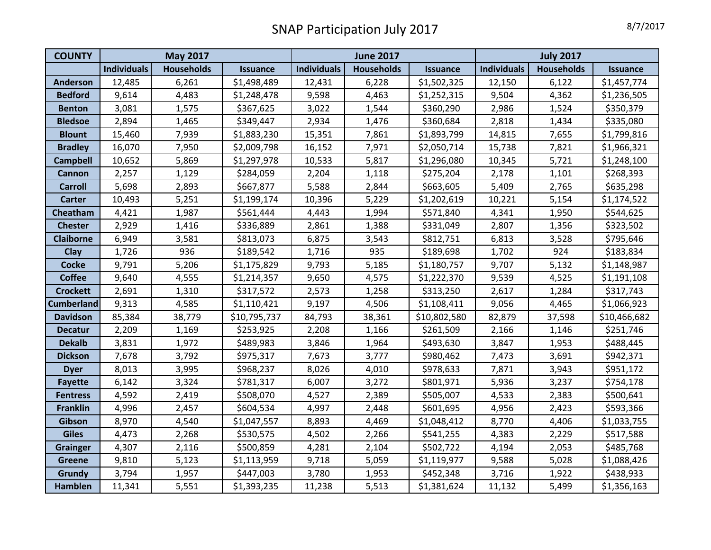| <b>COUNTY</b>     | <b>May 2017</b>    |                   |                 | <b>June 2017</b>   |                   |                 | <b>July 2017</b>   |                   |                 |
|-------------------|--------------------|-------------------|-----------------|--------------------|-------------------|-----------------|--------------------|-------------------|-----------------|
|                   | <b>Individuals</b> | <b>Households</b> | <b>Issuance</b> | <b>Individuals</b> | <b>Households</b> | <b>Issuance</b> | <b>Individuals</b> | <b>Households</b> | <b>Issuance</b> |
| <b>Anderson</b>   | 12,485             | 6,261             | \$1,498,489     | 12,431             | 6,228             | \$1,502,325     | 12,150             | 6,122             | \$1,457,774     |
| <b>Bedford</b>    | 9,614              | 4,483             | \$1,248,478     | 9,598              | 4,463             | \$1,252,315     | 9,504              | 4,362             | \$1,236,505     |
| <b>Benton</b>     | 3,081              | 1,575             | \$367,625       | 3,022              | 1,544             | \$360,290       | 2,986              | 1,524             | \$350,379       |
| <b>Bledsoe</b>    | 2,894              | 1,465             | \$349,447       | 2,934              | 1,476             | \$360,684       | 2,818              | 1,434             | \$335,080       |
| <b>Blount</b>     | 15,460             | 7,939             | \$1,883,230     | 15,351             | 7,861             | \$1,893,799     | 14,815             | 7,655             | \$1,799,816     |
| <b>Bradley</b>    | 16,070             | 7,950             | \$2,009,798     | 16,152             | 7,971             | \$2,050,714     | 15,738             | 7,821             | \$1,966,321     |
| <b>Campbell</b>   | 10,652             | 5,869             | \$1,297,978     | 10,533             | 5,817             | \$1,296,080     | 10,345             | 5,721             | \$1,248,100     |
| <b>Cannon</b>     | 2,257              | 1,129             | \$284,059       | 2,204              | 1,118             | \$275,204       | 2,178              | 1,101             | \$268,393       |
| <b>Carroll</b>    | 5,698              | 2,893             | \$667,877       | 5,588              | 2,844             | \$663,605       | 5,409              | 2,765             | \$635,298       |
| <b>Carter</b>     | 10,493             | 5,251             | \$1,199,174     | 10,396             | 5,229             | \$1,202,619     | 10,221             | 5,154             | \$1,174,522     |
| Cheatham          | 4,421              | 1,987             | \$561,444       | 4,443              | 1,994             | \$571,840       | 4,341              | 1,950             | \$544,625       |
| <b>Chester</b>    | 2,929              | 1,416             | \$336,889       | 2,861              | 1,388             | \$331,049       | 2,807              | 1,356             | \$323,502       |
| <b>Claiborne</b>  | 6,949              | 3,581             | \$813,073       | 6,875              | 3,543             | \$812,751       | 6,813              | 3,528             | \$795,646       |
| <b>Clay</b>       | 1,726              | 936               | \$189,542       | 1,716              | 935               | \$189,698       | 1,702              | 924               | \$183,834       |
| <b>Cocke</b>      | 9,791              | 5,206             | \$1,175,829     | 9,793              | 5,185             | \$1,180,757     | 9,707              | 5,132             | \$1,148,987     |
| <b>Coffee</b>     | 9,640              | 4,555             | \$1,214,357     | 9,650              | 4,575             | \$1,222,370     | 9,539              | 4,525             | \$1,191,108     |
| <b>Crockett</b>   | 2,691              | 1,310             | \$317,572       | 2,573              | 1,258             | \$313,250       | 2,617              | 1,284             | \$317,743       |
| <b>Cumberland</b> | 9,313              | 4,585             | \$1,110,421     | 9,197              | 4,506             | \$1,108,411     | 9,056              | 4,465             | \$1,066,923     |
| <b>Davidson</b>   | 85,384             | 38,779            | \$10,795,737    | 84,793             | 38,361            | \$10,802,580    | 82,879             | 37,598            | \$10,466,682    |
| <b>Decatur</b>    | 2,209              | 1,169             | \$253,925       | 2,208              | 1,166             | \$261,509       | 2,166              | 1,146             | \$251,746       |
| <b>Dekalb</b>     | 3,831              | 1,972             | \$489,983       | 3,846              | 1,964             | \$493,630       | 3,847              | 1,953             | \$488,445       |
| <b>Dickson</b>    | 7,678              | 3,792             | \$975,317       | 7,673              | 3,777             | \$980,462       | 7,473              | 3,691             | \$942,371       |
| <b>Dyer</b>       | 8,013              | 3,995             | \$968,237       | 8,026              | 4,010             | \$978,633       | 7,871              | 3,943             | \$951,172       |
| <b>Fayette</b>    | 6,142              | 3,324             | \$781,317       | 6,007              | 3,272             | \$801,971       | 5,936              | 3,237             | \$754,178       |
| <b>Fentress</b>   | 4,592              | 2,419             | \$508,070       | 4,527              | 2,389             | \$505,007       | 4,533              | 2,383             | \$500,641       |
| <b>Franklin</b>   | 4,996              | 2,457             | \$604,534       | 4,997              | 2,448             | \$601,695       | 4,956              | 2,423             | \$593,366       |
| Gibson            | 8,970              | 4,540             | \$1,047,557     | 8,893              | 4,469             | \$1,048,412     | 8,770              | 4,406             | \$1,033,755     |
| <b>Giles</b>      | 4,473              | 2,268             | \$530,575       | 4,502              | 2,266             | \$541,255       | 4,383              | 2,229             | \$517,588       |
| <b>Grainger</b>   | 4,307              | 2,116             | \$500,859       | 4,281              | 2,104             | \$502,722       | 4,194              | 2,053             | \$485,768       |
| <b>Greene</b>     | 9,810              | 5,123             | \$1,113,959     | 9,718              | 5,059             | \$1,119,977     | 9,588              | 5,028             | \$1,088,426     |
| Grundy            | 3,794              | 1,957             | \$447,003       | 3,780              | 1,953             | \$452,348       | 3,716              | 1,922             | \$438,933       |
| <b>Hamblen</b>    | 11,341             | 5,551             | \$1,393,235     | 11,238             | 5,513             | \$1,381,624     | 11,132             | 5,499             | \$1,356,163     |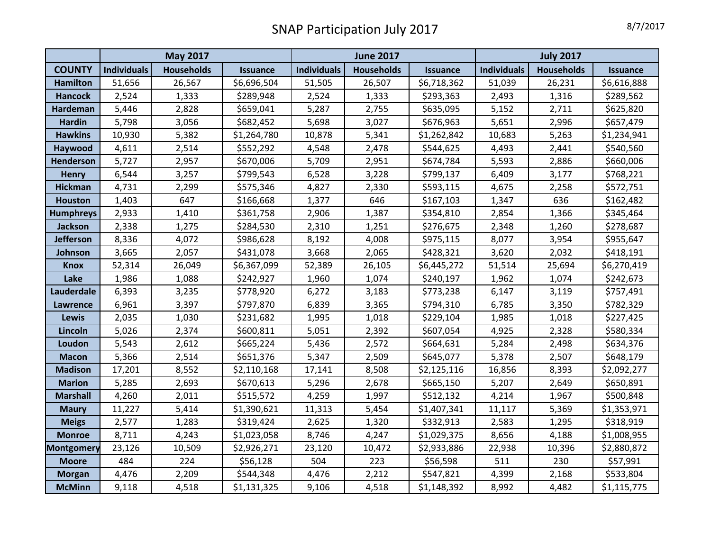|                   | <b>May 2017</b>    |                   |                 | <b>June 2017</b>   |                   |                 | <b>July 2017</b>   |                   |                 |
|-------------------|--------------------|-------------------|-----------------|--------------------|-------------------|-----------------|--------------------|-------------------|-----------------|
| <b>COUNTY</b>     | <b>Individuals</b> | <b>Households</b> | <b>Issuance</b> | <b>Individuals</b> | <b>Households</b> | <b>Issuance</b> | <b>Individuals</b> | <b>Households</b> | <b>Issuance</b> |
| <b>Hamilton</b>   | 51,656             | 26,567            | \$6,696,504     | 51,505             | 26,507            | \$6,718,362     | 51,039             | 26,231            | \$6,616,888     |
| <b>Hancock</b>    | 2,524              | 1,333             | \$289,948       | 2,524              | 1,333             | \$293,363       | 2,493              | 1,316             | \$289,562       |
| Hardeman          | 5,446              | 2,828             | \$659,041       | 5,287              | 2,755             | \$635,095       | 5,152              | 2,711             | \$625,820       |
| <b>Hardin</b>     | 5,798              | 3,056             | \$682,452       | 5,698              | 3,027             | \$676,963       | 5,651              | 2,996             | \$657,479       |
| <b>Hawkins</b>    | 10,930             | 5,382             | \$1,264,780     | 10,878             | 5,341             | \$1,262,842     | 10,683             | 5,263             | \$1,234,941     |
| Haywood           | 4,611              | 2,514             | \$552,292       | 4,548              | 2,478             | \$544,625       | 4,493              | 2,441             | \$540,560       |
| Henderson         | 5,727              | 2,957             | \$670,006       | 5,709              | 2,951             | \$674,784       | 5,593              | 2,886             | \$660,006       |
| <b>Henry</b>      | 6,544              | 3,257             | \$799,543       | 6,528              | 3,228             | \$799,137       | 6,409              | 3,177             | \$768,221       |
| <b>Hickman</b>    | 4,731              | 2,299             | \$575,346       | 4,827              | 2,330             | \$593,115       | 4,675              | 2,258             | \$572,751       |
| <b>Houston</b>    | 1,403              | 647               | \$166,668       | 1,377              | 646               | \$167,103       | 1,347              | 636               | \$162,482       |
| <b>Humphreys</b>  | 2,933              | 1,410             | \$361,758       | 2,906              | 1,387             | \$354,810       | 2,854              | 1,366             | \$345,464       |
| Jackson           | 2,338              | 1,275             | \$284,530       | 2,310              | 1,251             | \$276,675       | 2,348              | 1,260             | \$278,687       |
| <b>Jefferson</b>  | 8,336              | 4,072             | \$986,628       | 8,192              | 4,008             | \$975,115       | 8,077              | 3,954             | \$955,647       |
| Johnson           | 3,665              | 2,057             | \$431,078       | 3,668              | 2,065             | \$428,321       | 3,620              | 2,032             | \$418,191       |
| <b>Knox</b>       | 52,314             | 26,049            | \$6,367,099     | 52,389             | 26,105            | \$6,445,272     | 51,514             | 25,694            | \$6,270,419     |
| Lake              | 1,986              | 1,088             | \$242,927       | 1,960              | 1,074             | \$240,197       | 1,962              | 1,074             | \$242,673       |
| Lauderdale        | 6,393              | 3,235             | \$778,920       | 6,272              | 3,183             | \$773,238       | 6,147              | 3,119             | \$757,491       |
| <b>Lawrence</b>   | 6,961              | 3,397             | \$797,870       | 6,839              | 3,365             | \$794,310       | 6,785              | 3,350             | \$782,329       |
| <b>Lewis</b>      | 2,035              | 1,030             | \$231,682       | 1,995              | 1,018             | \$229,104       | 1,985              | 1,018             | \$227,425       |
| Lincoln           | 5,026              | 2,374             | \$600,811       | 5,051              | 2,392             | \$607,054       | 4,925              | 2,328             | \$580,334       |
| Loudon            | 5,543              | 2,612             | \$665,224       | 5,436              | 2,572             | \$664,631       | 5,284              | 2,498             | \$634,376       |
| <b>Macon</b>      | 5,366              | 2,514             | \$651,376       | 5,347              | 2,509             | \$645,077       | 5,378              | 2,507             | \$648,179       |
| <b>Madison</b>    | 17,201             | 8,552             | \$2,110,168     | 17,141             | 8,508             | \$2,125,116     | 16,856             | 8,393             | \$2,092,277     |
| <b>Marion</b>     | 5,285              | 2,693             | \$670,613       | 5,296              | 2,678             | \$665,150       | 5,207              | 2,649             | \$650,891       |
| <b>Marshall</b>   | 4,260              | 2,011             | \$515,572       | 4,259              | 1,997             | \$512,132       | 4,214              | 1,967             | \$500,848       |
| <b>Maury</b>      | 11,227             | 5,414             | \$1,390,621     | 11,313             | 5,454             | \$1,407,341     | 11,117             | 5,369             | \$1,353,971     |
| <b>Meigs</b>      | 2,577              | 1,283             | \$319,424       | 2,625              | 1,320             | \$332,913       | 2,583              | 1,295             | \$318,919       |
| <b>Monroe</b>     | 8,711              | 4,243             | \$1,023,058     | 8,746              | 4,247             | \$1,029,375     | 8,656              | 4,188             | \$1,008,955     |
| <b>Montgomery</b> | 23,126             | 10,509            | \$2,926,271     | 23,120             | 10,472            | \$2,933,886     | 22,938             | 10,396            | \$2,880,872     |
| <b>Moore</b>      | 484                | 224               | \$56,128        | 504                | 223               | \$56,598        | 511                | 230               | \$57,991        |
| <b>Morgan</b>     | 4,476              | 2,209             | \$544,348       | 4,476              | 2,212             | \$547,821       | 4,399              | 2,168             | \$533,804       |
| <b>McMinn</b>     | 9,118              | 4,518             | \$1,131,325     | 9,106              | 4,518             | \$1,148,392     | 8,992              | 4,482             | \$1,115,775     |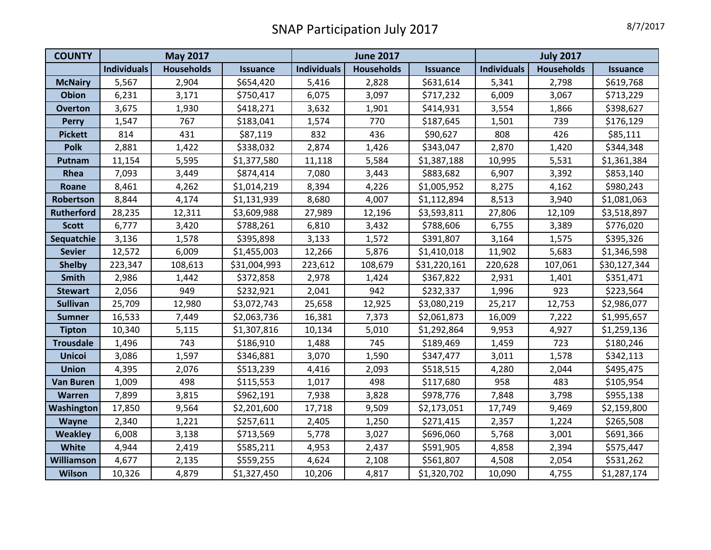| <b>COUNTY</b>     | <b>May 2017</b>    |                   |                 | <b>June 2017</b>   |                   |                 | <b>July 2017</b>   |            |                 |
|-------------------|--------------------|-------------------|-----------------|--------------------|-------------------|-----------------|--------------------|------------|-----------------|
|                   | <b>Individuals</b> | <b>Households</b> | <b>Issuance</b> | <b>Individuals</b> | <b>Households</b> | <b>Issuance</b> | <b>Individuals</b> | Households | <b>Issuance</b> |
| <b>McNairy</b>    | 5,567              | 2,904             | \$654,420       | 5,416              | 2,828             | \$631,614       | 5,341              | 2,798      | \$619,768       |
| <b>Obion</b>      | 6,231              | 3,171             | \$750,417       | 6,075              | 3,097             | \$717,232       | 6,009              | 3,067      | \$713,229       |
| <b>Overton</b>    | 3,675              | 1,930             | \$418,271       | 3,632              | 1,901             | \$414,931       | 3,554              | 1,866      | \$398,627       |
| <b>Perry</b>      | 1,547              | 767               | \$183,041       | 1,574              | 770               | \$187,645       | 1,501              | 739        | \$176,129       |
| <b>Pickett</b>    | 814                | 431               | \$87,119        | 832                | 436               | \$90,627        | 808                | 426        | \$85,111        |
| <b>Polk</b>       | 2,881              | 1,422             | \$338,032       | 2,874              | 1,426             | \$343,047       | 2,870              | 1,420      | \$344,348       |
| Putnam            | 11,154             | 5,595             | \$1,377,580     | 11,118             | 5,584             | \$1,387,188     | 10,995             | 5,531      | \$1,361,384     |
| Rhea              | 7,093              | 3,449             | \$874,414       | 7,080              | 3,443             | \$883,682       | 6,907              | 3,392      | \$853,140       |
| Roane             | 8,461              | 4,262             | \$1,014,219     | 8,394              | 4,226             | \$1,005,952     | 8,275              | 4,162      | \$980,243       |
| Robertson         | 8,844              | 4,174             | \$1,131,939     | 8,680              | 4,007             | \$1,112,894     | 8,513              | 3,940      | \$1,081,063     |
| <b>Rutherford</b> | 28,235             | 12,311            | \$3,609,988     | 27,989             | 12,196            | \$3,593,811     | 27,806             | 12,109     | \$3,518,897     |
| <b>Scott</b>      | 6,777              | 3,420             | \$788,261       | 6,810              | 3,432             | \$788,606       | 6,755              | 3,389      | \$776,020       |
| Sequatchie        | 3,136              | 1,578             | \$395,898       | 3,133              | 1,572             | \$391,807       | 3,164              | 1,575      | \$395,326       |
| <b>Sevier</b>     | 12,572             | 6,009             | \$1,455,003     | 12,266             | 5,876             | \$1,410,018     | 11,902             | 5,683      | \$1,346,598     |
| <b>Shelby</b>     | 223,347            | 108,613           | \$31,004,993    | 223,612            | 108,679           | \$31,220,161    | 220,628            | 107,061    | \$30,127,344    |
| Smith             | 2,986              | 1,442             | \$372,858       | 2,978              | 1,424             | \$367,822       | 2,931              | 1,401      | \$351,471       |
| <b>Stewart</b>    | 2,056              | 949               | \$232,921       | 2,041              | 942               | \$232,337       | 1,996              | 923        | \$223,564       |
| <b>Sullivan</b>   | 25,709             | 12,980            | \$3,072,743     | 25,658             | 12,925            | \$3,080,219     | 25,217             | 12,753     | \$2,986,077     |
| <b>Sumner</b>     | 16,533             | 7,449             | \$2,063,736     | 16,381             | 7,373             | \$2,061,873     | 16,009             | 7,222      | \$1,995,657     |
| <b>Tipton</b>     | 10,340             | 5,115             | \$1,307,816     | 10,134             | 5,010             | \$1,292,864     | 9,953              | 4,927      | \$1,259,136     |
| <b>Trousdale</b>  | 1,496              | 743               | \$186,910       | 1,488              | 745               | \$189,469       | 1,459              | 723        | \$180,246       |
| <b>Unicoi</b>     | 3,086              | 1,597             | \$346,881       | 3,070              | 1,590             | \$347,477       | 3,011              | 1,578      | \$342,113       |
| <b>Union</b>      | 4,395              | 2,076             | \$513,239       | 4,416              | 2,093             | \$518,515       | 4,280              | 2,044      | \$495,475       |
| <b>Van Buren</b>  | 1,009              | 498               | \$115,553       | 1,017              | 498               | \$117,680       | 958                | 483        | \$105,954       |
| Warren            | 7,899              | 3,815             | \$962,191       | 7,938              | 3,828             | \$978,776       | 7,848              | 3,798      | \$955,138       |
| <b>Washington</b> | 17,850             | 9,564             | \$2,201,600     | 17,718             | 9,509             | \$2,173,051     | 17,749             | 9,469      | \$2,159,800     |
| Wayne             | 2,340              | 1,221             | \$257,611       | 2,405              | 1,250             | \$271,415       | 2,357              | 1,224      | \$265,508       |
| <b>Weakley</b>    | 6,008              | 3,138             | \$713,569       | 5,778              | 3,027             | \$696,060       | 5,768              | 3,001      | \$691,366       |
| White             | 4,944              | 2,419             | \$585,211       | 4,953              | 2,437             | \$591,905       | 4,858              | 2,394      | \$575,447       |
| Williamson        | 4,677              | 2,135             | \$559,255       | 4,624              | 2,108             | \$561,807       | 4,508              | 2,054      | \$531,262       |
| <b>Wilson</b>     | 10,326             | 4,879             | \$1,327,450     | 10,206             | 4,817             | \$1,320,702     | 10,090             | 4,755      | \$1,287,174     |